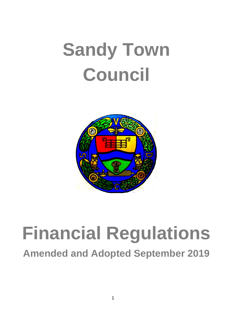# **Sandy Town Council**



## **Financial Regulations**

**Amended and Adopted September 2019**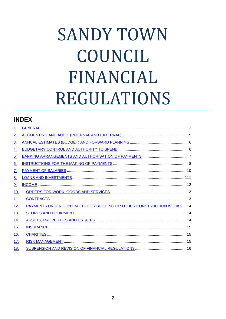### **SANDY TOWN** COUNCIL FINANCIAL **REGULATIONS**

### **INDEX**

| <u>1.</u>         |                                                                       |
|-------------------|-----------------------------------------------------------------------|
| 2 <sub>1</sub>    |                                                                       |
| $\underline{3}$ . |                                                                       |
| <u>4.</u>         |                                                                       |
| <u>5.</u>         |                                                                       |
| $\underline{6}$ . |                                                                       |
| 7.                |                                                                       |
| <u>8.</u>         |                                                                       |
| 9.                |                                                                       |
| 10.               |                                                                       |
| <u>11.</u>        |                                                                       |
| <u>12.</u>        | PAYMENTS UNDER CONTRACTS FOR BUILDING OR OTHER CONSTRUCTION WORKS  14 |
| <u>13.</u>        |                                                                       |
| <u>14.</u>        |                                                                       |
| <u>15.</u>        |                                                                       |
| <u>16.</u>        |                                                                       |
| <u>17</u> .       |                                                                       |
| 18.               |                                                                       |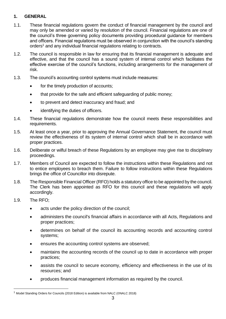#### <span id="page-2-0"></span>**1. GENERAL**

- 1.1. These financial regulations govern the conduct of financial management by the council and may only be amended or varied by resolution of the council. Financial regulations are one of the council's three governing policy documents providing procedural guidance for members and officers. Financial regulations must be observed in conjunction with the council's standing orders<sup>1</sup> and any individual financial regulations relating to contracts.
- 1.2. The council is responsible in law for ensuring that its financial management is adequate and effective, and that the council has a sound system of internal control which facilitates the effective exercise of the council's functions, including arrangements for the management of risk.
- 1.3. The council's accounting control systems must include measures:
	- for the timely production of accounts;
	- that provide for the safe and efficient safeguarding of public money;
	- to prevent and detect inaccuracy and fraud; and
	- identifying the duties of officers.
- 1.4. These financial regulations demonstrate how the council meets these responsibilities and requirements.
- 1.5. At least once a year, prior to approving the Annual Governance Statement, the council must review the effectiveness of its system of internal control which shall be in accordance with proper practices.
- 1.6. Deliberate or wilful breach of these Regulations by an employee may give rise to disciplinary proceedings.
- 1.7. Members of Council are expected to follow the instructions within these Regulations and not to entice employees to breach them. Failure to follow instructions within these Regulations brings the office of Councillor into disrepute.
- 1.8. The Responsible Financial Officer (RFO) holds a statutory office to be appointed by the council. The Clerk has been appointed as RFO for this council and these regulations will apply accordingly.
- 1.9. The RFO;
	- acts under the policy direction of the council;
	- administers the council's financial affairs in accordance with all Acts, Regulations and proper practices;
	- determines on behalf of the council its accounting records and accounting control systems;
	- ensures the accounting control systems are observed;
	- maintains the accounting records of the council up to date in accordance with proper practices;
	- assists the council to secure economy, efficiency and effectiveness in the use of its resources; and
	- produces financial management information as required by the council.

<sup>1</sup> Model Standing Orders for Councils (2018 Edition) is available from NALC (©NALC 2018)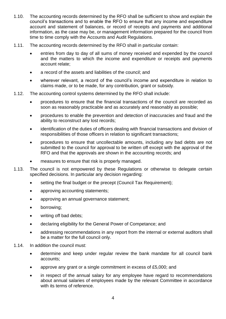- 1.10. The accounting records determined by the RFO shall be sufficient to show and explain the council's transactions and to enable the RFO to ensure that any income and expenditure account and statement of balances, or record of receipts and payments and additional information, as the case may be, or management information prepared for the council from time to time comply with the Accounts and Audit Regulations.
- 1.11. The accounting records determined by the RFO shall in particular contain:
	- entries from day to day of all sums of money received and expended by the council and the matters to which the income and expenditure or receipts and payments account relate;
	- a record of the assets and liabilities of the council: and
	- wherever relevant, a record of the council's income and expenditure in relation to claims made, or to be made, for any contribution, grant or subsidy.
- 1.12. The accounting control systems determined by the RFO shall include:
	- procedures to ensure that the financial transactions of the council are recorded as soon as reasonably practicable and as accurately and reasonably as possible;
	- procedures to enable the prevention and detection of inaccuracies and fraud and the ability to reconstruct any lost records;
	- identification of the duties of officers dealing with financial transactions and division of responsibilities of those officers in relation to significant transactions;
	- procedures to ensure that uncollectable amounts, including any bad debts are not submitted to the council for approval to be written off except with the approval of the RFO and that the approvals are shown in the accounting records; and
	- measures to ensure that risk is properly managed.
- 1.13. The council is not empowered by these Regulations or otherwise to delegate certain specified decisions. In particular any decision regarding:
	- setting the final budget or the precept (Council Tax Requirement);
	- approving accounting statements;
	- approving an annual governance statement;
	- borrowing;
	- writing off bad debts;
	- declaring eligibility for the General Power of Competance; and
	- addressing recommendations in any report from the internal or external auditors shall be a matter for the full council only.
- 1.14. In addition the council must:
	- determine and keep under regular review the bank mandate for all council bank accounts;
	- approve any grant or a single commitment in excess of £5,000; and
	- in respect of the annual salary for any employee have regard to recommendations about annual salaries of employees made by the relevant Committee in accordance with its terms of reference.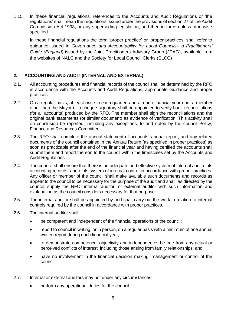1.15. In these financial regulations, references to the Accounts and Audit Regulations or 'the regulations' shall mean the regulations issued under the provisions of section 27 of the Audit Commission Act 1998, or any superseding legislation, and then in force unless otherwise specified.

In these financial regulations the term 'proper practice' or 'proper practices' shall refer to guidance issued in *Governance and Accountability for Local Councils– a Practitioners' Guide (England)* issued by the Joint Practitioners Advisory Group (JPAG), available from the websites of NALC and the Society for Local Council Clerks (SLCC)

#### <span id="page-4-0"></span>**2. ACCOUNTING AND AUDIT (INTERNAL AND EXTERNAL)**

- 2.1. All accounting procedures and financial records of the council shall be determined by the RFO in accordance with the Accounts and Audit Regulations, appropriate Guidance and proper practices.
- 2.2. On a regular basis, at least once in each quarter, and at each financial year end, a member other than the Mayor or a cheque signatory shall be appointed to verify bank reconciliations (for all accounts) produced by the RFO. The member shall sign the reconciliations and the original bank statements (or similar document) as evidence of verification. This activity shall on conclusion be reported, including any exceptions, to and noted by the council Policy, Finance and Resources Committee.
- 2.3. The RFO shall complete the annual statement of accounts, annual report, and any related documents of the council contained in the Annual Return (as specified in proper practices) as soon as practicable after the end of the financial year and having certified the accounts shall submit them and report thereon to the council within the timescales set by the Accounts and Audit Regulations.
- 2.4. The council shall ensure that there is an adequate and effective system of internal audit of its accounting records, and of its system of internal control in accordance with proper practices. Any officer or member of the council shall make available such documents and records as appear to the council to be necessary for the purpose of the audit and shall, as directed by the council, supply the RFO, internal auditor, or external auditor with such information and explanation as the council considers necessary for that purpose.
- 2.5. The internal auditor shall be appointed by and shall carry out the work in relation to internal controls required by the council in accordance with proper practices.
- 2.6. The internal auditor shall:
	- be competent and independent of the financial operations of the council;
	- report to council in writing, or in person, on a regular basis with a minimum of one annual written report during each financial year:
	- to demonstrate competence, objectivity and independence, be free from any actual or perceived conflicts of interest, including those arising from family relationships; and
	- have no involvement in the financial decision making, management or control of the council.
- 2.7. Internal or external auditors may not under any circumstances:
	- perform any operational duties for the council;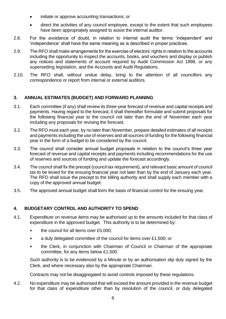- initiate or approve accounting transactions; or
- direct the activities of any council employee, except to the extent that such employees have been appropriately assigned to assist the internal auditor.
- 2.8. For the avoidance of doubt, in relation to internal audit the terms 'independent' and 'independence' shall have the same meaning as is described in proper practices.
- 2.9. The RFO shall make arrangements for the exercise of electors' rights in relation to the accounts including the opportunity to inspect the accounts, books, and vouchers and display or publish any notices and statements of account required by Audit Commission Act 1998, or any superseding legislation, and the Accounts and Audit Regulations.
- 2.10. The RFO shall, without undue delay, bring to the attention of all councillors any correspondence or report from internal or external auditors.

#### <span id="page-5-0"></span>**3. ANNUAL ESTIMATES (BUDGET) AND FORWARD PLANNING**

- 3.1. Each committee (if any) shall review its three-year forecast of revenue and capital receipts and payments. Having regard to the forecast, it shall thereafter formulate and submit proposals for the following financial year to the council not later than the end of November each year including any proposals for revising the forecast.
- 3.2. The RFO must each year, by no later than November, prepare detailed estimates of all receipts and payments including the use of reserves and all sources of funding for the following financial year in the form of a budget to be considered by the council.
- 3.3. The council shall consider annual budget proposals in relation to the council's three year forecast of revenue and capital receipts and payments including recommendations for the use of reserves and sources of funding and update the forecast accordingly.
- 3.4. The council shall fix the precept (council tax requirement), and relevant basic amount of council tax to be levied for the ensuing financial year not later than by the end of January each year. The RFO shall issue the precept to the billing authority and shall supply each member with a copy of the approved annual budget.
- 3.5. The approved annual budget shall form the basis of financial control for the ensuing year.

#### <span id="page-5-1"></span>**4. BUDGETARY CONTROL AND AUTHORITY TO SPEND**

- 4.1. Expenditure on revenue items may be authorised up to the amounts included for that class of expenditure in the approved budget. This authority is to be determined by:
	- the council for all items over £5,000;
	- a duly delegated committee of the council for items over £1,500; or
	- the Clerk, in conjunction with Chairman of Council or Chairman of the appropriate committee, for any items below £1,500.

Such authority is to be evidenced by a Minute or by an authorisation slip duly signed by the Clerk, and where necessary also by the appropriate Chairman.

Contracts may not be disaggregated to avoid controls imposed by these regulations.

4.2. No expenditure may be authorised that will exceed the amount provided in the revenue budget for that class of expenditure other than by resolution of the council, or duly delegated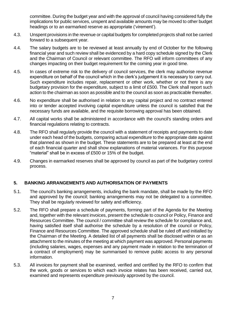committee. During the budget year and with the approval of council having considered fully the implications for public services, unspent and available amounts may be moved to other budget headings or to an earmarked reserve as appropriate ('virement').

- 4.3. Unspent provisions in the revenue or capital budgets for completed projects shall not be carried forward to a subsequent year.
- 4.4. The salary budgets are to be reviewed at least annually by end of October for the following financial year and such review shall be evidenced by a hard copy schedule signed by the Clerk and the Chairman of Council or relevant committee. The RFO will inform committees of any changes impacting on their budget requirement for the coming year in good time.
- 4.5. In cases of extreme risk to the delivery of council services, the clerk may authorise revenue expenditure on behalf of the council which in the clerk's judgement it is necessary to carry out. Such expenditure includes repair, replacement or other work, whether or not there is any budgetary provision for the expenditure, subject to a limit of £500. The Clerk shall report such action to the chairman as soon as possible and to the council as soon as practicable thereafter.
- 4.6. No expenditure shall be authorised in relation to any capital project and no contract entered into or tender accepted involving capital expenditure unless the council is satisfied that the necessary funds are available, and the requisite borrowing approval has been obtained.
- 4.7. All capital works shall be administered in accordance with the council's standing orders and financial regulations relating to contracts.
- 4.8. The RFO shall regularly provide the council with a statement of receipts and payments to date under each head of the budgets, comparing actual expenditure to the appropriate date against that planned as shown in the budget. These statements are to be prepared at least at the end of each financial quarter and shall show explanations of material variances. For this purpose "material" shall be in excess of £500 or 15% of the budget.
- 4.9. Changes in earmarked reserves shall be approved by council as part of the budgetary control process.

#### <span id="page-6-0"></span>**5. BANKING ARRANGEMENTS AND AUTHORISATION OF PAYMENTS**

- 5.1. The council's banking arrangements, including the bank mandate, shall be made by the RFO and approved by the council; banking arrangements may not be delegated to a committee. They shall be regularly reviewed for safety and efficiency.
- 5.2. The RFO shall prepare a schedule of payments, forming part of the Agenda for the Meeting and, together with the relevant invoices, present the schedule to council or Policy, Finance and Resources Committee. The council / committee shall review the schedule for compliance and, having satisfied itself shall authorise the schedule by a resolution of the council or Policy, Finance and Resources Committee. The approved schedule shall be ruled off and initialled by the Chairman of the Meeting. A detailed list of all payments shall be disclosed within or as an attachment to the minutes of the meeting at which payment was approved. Personal payments (including salaries, wages, expenses and any payment made in relation to the termination of a contract of employment) may be summarised to remove public access to any personal information.
- 5.3. All invoices for payment shall be examined, verified and certified by the RFO to confirm that the work, goods or services to which each invoice relates has been received, carried out, examined and represents expenditure previously approved by the council.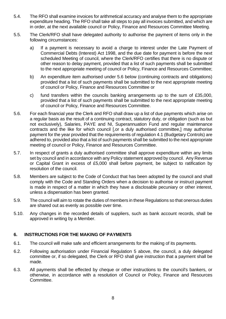- 5.4. The RFO shall examine invoices for arithmetical accuracy and analyse them to the appropriate expenditure heading. The RFO shall take all steps to pay all invoices submitted, and which are in order, at the next available council or Policy, Finance and Resources Committee Meeting.
- 5.5. The Clerk/RFO shall have delegated authority to authorise the payment of items only in the following circumstances:
	- a) If a payment is necessary to avoid a charge to interest under the Late Payment of Commercial Debts (Interest) Act 1998, and the due date for payment is before the next scheduled Meeting of council, where the Clerk/RFO certifies that there is no dispute or other reason to delay payment, provided that a list of such payments shall be submitted to the next appropriate meeting of council or Policy, Finance and Resources Committee;
	- b) An expenditure item authorised under 5.6 below (continuing contracts and obligations) provided that a list of such payments shall be submitted to the next appropriate meeting of council or Policy, Finance and Resources Committee or
	- c) fund transfers within the councils banking arrangements up to the sum of £35,000, provided that a list of such payments shall be submitted to the next appropriate meeting of council or Policy, Finance and Resources Committee.
- 5.6. For each financial year the Clerk and RFO shall draw up a list of due payments which arise on a regular basis as the result of a continuing contract, statutory duty, or obligation (such as but not exclusively), Salaries, PAYE and NI, Superannuation Fund and regular maintenance contracts and the like for which council [,or a duly authorised committee,] may authorise payment for the year provided that the requirements of regulation 4.1 (Budgetary Controls) are adhered to, provided also that a list of such payments shall be submitted to the next appropriate meeting of council or Policy, Finance and Resources Committee.
- 5.7. In respect of grants a duly authorised committee shall approve expenditure within any limits set by council and in accordance with any Policy statement approved by council. Any Revenue or Capital Grant in excess of £5,000 shall before payment, be subject to ratification by resolution of the council.
- 5.8. Members are subject to the Code of Conduct that has been adopted by the council and shall comply with the Code and Standing Orders when a decision to authorise or instruct payment is made in respect of a matter in which they have a disclosable pecuniary or other interest, unless a dispensation has been granted.
- 5.9. The council will aim to rotate the duties of members in these Regulations so that onerous duties are shared out as evenly as possible over time.
- 5.10. Any changes in the recorded details of suppliers, such as bank account records, shall be approved in writing by a Member.

#### <span id="page-7-0"></span>**6. INSTRUCTIONS FOR THE MAKING OF PAYMENTS**

- 6.1. The council will make safe and efficient arrangements for the making of its payments.
- 6.2. Following authorisation under Financial Regulation 5 above, the council, a duly delegated committee or, if so delegated, the Clerk or RFO shall give instruction that a payment shall be made.
- 6.3. All payments shall be effected by cheque or other instructions to the council's bankers, or otherwise, in accordance with a resolution of Council or Policy, Finance and Resources Committee.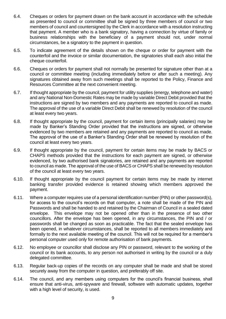- 6.4. Cheques or orders for payment drawn on the bank account in accordance with the schedule as presented to council or committee shall be signed by three members of council or two members of council and countersigned by the Clerk in accordance with a resolution instructing that payment. A member who is a bank signatory, having a connection by virtue of family or business relationships with the beneficiary of a payment should not, under normal circumstances, be a signatory to the payment in question.
- 6.5. To indicate agreement of the details shown on the cheque or order for payment with the counterfoil and the invoice or similar documentation, the signatories shall each also initial the cheque counterfoil.
- 6.6. Cheques or orders for payment shall not normally be presented for signature other than at a council or committee meeting (including immediately before or after such a meeting). Any signatures obtained away from such meetings shall be reported to the Policy, Finance and Resources Committee at the next convenient meeting.
- 6.7. If thought appropriate by the council, payment for utility supplies (energy, telephone and water) and any National Non-Domestic Rates may be made by variable Direct Debit provided that the instructions are signed by two members and any payments are reported to council as made. The approval of the use of a variable Direct Debit shall be renewed by resolution of the council at least every two years.
- 6.8. If thought appropriate by the council, payment for certain items (principally salaries) may be made by Banker's Standing Order provided that the instructions are signed, or otherwise evidenced by two members are retained and any payments are reported to council as made. The approval of the use of a Banker's Standing Order shall be renewed by resolution of the council at least every two years.
- 6.9. If thought appropriate by the council, payment for certain items may be made by BACS or CHAPS methods provided that the instructions for each payment are signed, or otherwise evidenced, by two authorised bank signatories, are retained and any payments are reported to council as made. The approval of the use of BACS or CHAPS shall be renewed by resolution of the council at least every two years.
- 6.10. If thought appropriate by the council payment for certain items may be made by internet banking transfer provided evidence is retained showing which members approved the payment.
- 6.11. Where a computer requires use of a personal identification number (PIN) or other password(s), for access to the council's records on that computer, a note shall be made of the PIN and Passwords and shall be handed to and retained by the Chairman of Council in a sealed dated envelope. This envelope may not be opened other than in the presence of two other councillors. After the envelope has been opened, in any circumstances, the PIN and / or passwords shall be changed as soon as practicable. The fact that the sealed envelope has been opened, in whatever circumstances, shall be reported to all members immediately and formally to the next available meeting of the council. This will not be required for a member's personal computer used only for remote authorisation of bank payments.
- 6.12. No employee or councillor shall disclose any PIN or password, relevant to the working of the council or its bank accounts, to any person not authorised in writing by the council or a duly delegated committee.
- 6.13. Regular back-up copies of the records on any computer shall be made and shall be stored securely away from the computer in question, and preferably off site.
- 6.14. The council, and any members using computers for the council's financial business, shall ensure that anti-virus, anti-spyware and firewall, software with automatic updates, together with a high level of security, is used.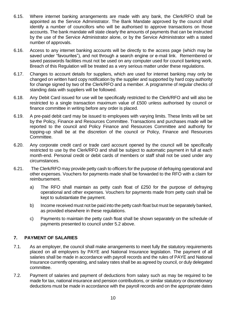- 6.15. Where internet banking arrangements are made with any bank, the Clerk/RFO shall be appointed as the Service Administrator. The Bank Mandate approved by the council shall identify a number of councillors who will be authorised to approve transactions on those accounts. The bank mandate will state clearly the amounts of payments that can be instructed by the use of the Service Administrator alone, or by the Service Administrator with a stated number of approvals.
- 6.16. Access to any internet banking accounts will be directly to the access page (which may be saved under "favourites"), and not through a search engine or e-mail link. Remembered or saved passwords facilities must not be used on any computer used for council banking work. Breach of this Regulation will be treated as a very serious matter under these regulations.
- 6.17. Changes to account details for suppliers, which are used for internet banking may only be changed on written hard copy notification by the supplier and supported by hard copy authority for change signed by two of the Clerk/RFO and a member. A programme of regular checks of standing data with suppliers will be followed.
- 6.18. Any Debit Card issued for use will be specifically restricted to the Clerk/RFO and will also be restricted to a single transaction maximum value of £500 unless authorised by council or finance committee in writing before any order is placed.
- 6.19. A pre-paid debit card may be issued to employees with varying limits. These limits will be set by the Policy, Finance and Resources Committee. Transactions and purchases made will be reported to the council and Policy Finance and Resources Committee and authority for topping-up shall be at the discretion of the council or Policy, Finance and Resources Committee.
- 6.20. Any corporate credit card or trade card account opened by the council will be specifically restricted to use by the Clerk/RFO and shall be subject to automatic payment in full at each month-end. Personal credit or debit cards of members or staff shall not be used under any circumstances.
- 6.21. The Clerk/RFO may provide petty cash to officers for the purpose of defraying operational and other expenses. Vouchers for payments made shall be forwarded to the RFO with a claim for reimbursement.
	- a) The RFO shall maintain as petty cash float of £250 for the purpose of defraying operational and other expenses. Vouchers for payments made from petty cash shall be kept to substantiate the payment.
	- b) Income received must not be paid into the petty cash float but must be separately banked, as provided elsewhere in these regulations.
	- c) Payments to maintain the petty cash float shall be shown separately on the schedule of payments presented to council under 5.2 above.

#### <span id="page-9-0"></span>**7. PAYMENT OF SALARIES**

- 7.1. As an employer, the council shall make arrangements to meet fully the statutory requirements placed on all employers by PAYE and National Insurance legislation. The payment of all salaries shall be made in accordance with payroll records and the rules of PAYE and National Insurance currently operating, and salary rates shall be as agreed by council, or duly delegated committee.
- 7.2. Payment of salaries and payment of deductions from salary such as may be required to be made for tax, national insurance and pension contributions, or similar statutory or discretionary deductions must be made in accordance with the payroll records and on the appropriate dates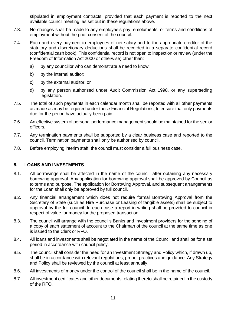stipulated in employment contracts, provided that each payment is reported to the next available council meeting, as set out in these regulations above.

- 7.3. No changes shall be made to any employee's pay, emoluments, or terms and conditions of employment without the prior consent of the council.
- 7.4. Each and every payment to employees of net salary and to the appropriate creditor of the statutory and discretionary deductions shall be recorded in a separate confidential record (confidential cash book). This confidential record is not open to inspection or review (under the Freedom of Information Act 2000 or otherwise) other than:
	- a) by any councillor who can demonstrate a need to know;
	- b) by the internal auditor;
	- c) by the external auditor; or
	- d) by any person authorised under Audit Commission Act 1998, or any superseding legislation.
- 7.5. The total of such payments in each calendar month shall be reported with all other payments as made as may be required under these Financial Regulations, to ensure that only payments due for the period have actually been paid.
- 7.6. An effective system of personal performance management should be maintained for the senior officers.
- 7.7. Any termination payments shall be supported by a clear business case and reported to the council. Termination payments shall only be authorised by council.
- 7.8. Before employing interim staff, the council must consider a full business case.

#### <span id="page-10-0"></span>**8. LOANS AND INVESTMENTS**

- 8.1. All borrowings shall be affected in the name of the council, after obtaining any necessary borrowing approval. Any application for borrowing approval shall be approved by Council as to terms and purpose. The application for Borrowing Approval, and subsequent arrangements for the Loan shall only be approved by full council.
- 8.2. Any financial arrangement which does not require formal Borrowing Approval from the Secretary of State (such as Hire Purchase or Leasing of tangible assets) shall be subject to approval by the full council. In each case a report in writing shall be provided to council in respect of value for money for the proposed transaction.
- 8.3. The council will arrange with the council's Banks and Investment providers for the sending of a copy of each statement of account to the Chairman of the council at the same time as one is issued to the Clerk or RFO.
- 8.4. All loans and investments shall be negotiated in the name of the Council and shall be for a set period in accordance with council policy.
- 8.5. The council shall consider the need for an Investment Strategy and Policy which, if drawn up, shall be in accordance with relevant regulations, proper practices and guidance. Any Strategy and Policy shall be reviewed by the council at least annually.
- 8.6. All investments of money under the control of the council shall be in the name of the council.
- 8.7. All investment certificates and other documents relating thereto shall be retained in the custody of the RFO.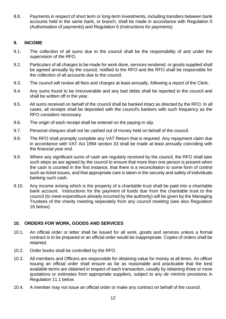8.8. Payments in respect of short term or long-term investments, including transfers between bank accounts held in the same bank, or branch, shall be made in accordance with Regulation 5 (Authorisation of payments) and Regulation 6 (Instructions for payments).

#### <span id="page-11-0"></span>**9. INCOME**

- 9.1. The collection of all sums due to the council shall be the responsibility of and under the supervision of the RFO.
- 9.2. Particulars of all charges to be made for work done, services rendered, or goods supplied shall be agreed annually by the council, notified to the RFO and the RFO shall be responsible for the collection of all accounts due to the council.
- 9.3. The council will review all fees and charges at least annually, following a report of the Clerk.
- 9.4. Any sums found to be irrecoverable and any bad debts shall be reported to the council and shall be written off in the year.
- 9.5. All sums received on behalf of the council shall be banked intact as directed by the RFO. In all cases, all receipts shall be deposited with the council's bankers with such frequency as the RFO considers necessary.
- 9.6. The origin of each receipt shall be entered on the paying-in slip.
- 9.7. Personal cheques shall not be cashed out of money held on behalf of the council.
- 9.8. The RFO shall promptly complete any VAT Return that is required. Any repayment claim due in accordance with VAT Act 1994 section 33 shall be made at least annually coinciding with the financial year end.
- 9.9. Where any significant sums of cash are regularly received by the council, the RFO shall take such steps as are agreed by the council to ensure that more than one person is present when the cash is counted in the first instance, that there is a reconciliation to some form of control such as ticket issues, and that appropriate care is taken in the security and safety of individuals banking such cash.
- 9.10. Any income arising which is the property of a charitable trust shall be paid into a charitable bank account. Instructions for the payment of funds due from the charitable trust to the council (to meet expenditure already incurred by the authority) will be given by the Managing Trustees of the charity meeting separately from any council meeting (see also Regulation 16 below).

#### <span id="page-11-1"></span>**10. ORDERS FOR WORK, GOODS AND SERVICES**

- 10.1. An official order or letter shall be issued for all work, goods and services unless a formal contract is to be prepared or an official order would be inappropriate. Copies of orders shall be retained.
- 10.2. Order books shall be controlled by the RFO.
- 10.3. All members and Officers are responsible for obtaining value for money at all times. An officer issuing an official order shall ensure as far as reasonable and practicable that the best available terms are obtained in respect of each transaction, usually by obtaining three or more quotations or estimates from appropriate suppliers, subject to any *de minimis* provisions in Regulation 11.1 below.
- 10.4. A member may not issue an official order or make any contract on behalf of the council.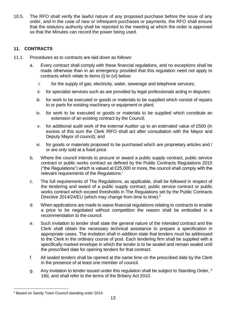10.5. The RFO shall verify the lawful nature of any proposed purchase before the issue of any order, and in the case of new or infrequent purchases or payments, the RFO shall ensure that the statutory authority shall be reported to the meeting at which the order is approved so that the Minutes can record the power being used.

#### <span id="page-12-0"></span>**11. CONTRACTS**

- 11.1. Procedures as to contracts are laid down as follows:
	- a. Every contract shall comply with these financial regulations, and no exceptions shall be made otherwise than in an emergency provided that this regulation need not apply to contracts which relate to items (i) to (vi) below:
		- i. for the supply of gas, electricity, water, sewerage and telephone services;
		- ii. for specialist services such as are provided by legal professionals acting in disputes;
		- iii. for work to be executed or goods or materials to be supplied which consist of repairs to or parts for existing machinery or equipment or plant;
		- iv. for work to be executed or goods or materials to be supplied which constitute an extension of an existing contract by the Council;
		- v. for additional audit work of the external Auditor up to an estimated value of £500 (in excess of this sum the Clerk /RFO shall act after consultation with the Mayor and Deputy Mayor of council); and
		- vi. for goods or materials proposed to be purchased which are proprietary articles and / or are only sold at a fixed price.
	- b. Where the council intends to procure or award a public supply contract, public service contract or public works contract as defined by the Public Contracts Regulations 2015 ("the Regulations") which is valued at £25,000 or more, the council shall comply with the relevant requirements of the Regulations.<sup>i</sup>
	- c. The full requirements of The Regulations, as applicable, shall be followed in respect of the tendering and award of a public supply contract, public service contract or public works contract which exceed thresholds in The Regulations set by the Public Contracts Directive 2014/24/EU (which may change from time to time).<sup>ii</sup>
	- d. When applications are made to waive financial regulations relating to contracts to enable a price to be negotiated without competition the reason shall be embodied in a recommendation to the council.
	- e. Such invitation to tender shall state the general nature of the intended contract and the Clerk shall obtain the necessary technical assistance to prepare a specification in appropriate cases. The invitation shall in addition state that tenders must be addressed to the Clerk in the ordinary course of post. Each tendering firm shall be supplied with a specifically marked envelope in which the tender is to be sealed and remain sealed until the prescribed date for opening tenders for that contract.
	- f. All sealed tenders shall be opened at the same time on the prescribed date by the Clerk in the presence of at least one member of council.
	- g. Any invitation to tender issued under this regulation shall be subject to Standing Order, <sup>2</sup> 18d, and shall refer to the terms of the Bribery Act 2010.

<sup>2</sup> Based on Sandy Town Council standing order 2014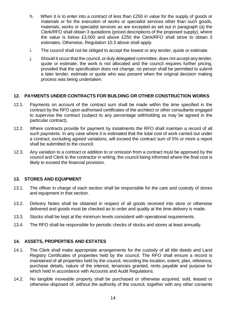- h. When it is to enter into a contract of less than £250 in value for the supply of goods or materials or for the execution of works or specialist services other than such goods, materials, works or specialist services as are excepted as set out in paragraph (a) the Clerk/RFO shall obtain 3 quotations (priced descriptions of the proposed supply); where the value is below £3,000 and above £250 the Clerk/RFO shall strive to obtain 3 estimates. Otherwise, Regulation 10.3 above shall apply.
- i. The council shall not be obliged to accept the lowest or any tender, quote or estimate.
- j. Should it occur that the council, or duly delegated committee, does not accept any tender, quote or estimate, the work is not allocated and the council requires further pricing, provided that the specification does not change, no person shall be permitted to submit a later tender, estimate or quote who was present when the original decision making process was being undertaken.

#### <span id="page-13-0"></span>**12. PAYMENTS UNDER CONTRACTS FOR BUILDING OR OTHER CONSTRUCTION WORKS**

- 12.1. Payments on account of the contract sum shall be made within the time specified in the contract by the RFO upon authorised certificates of the architect or other consultants engaged to supervise the contract (subject to any percentage withholding as may be agreed in the particular contract).
- 12.2. Where contracts provide for payment by instalments the RFO shall maintain a record of all such payments. In any case where it is estimated that the total cost of work carried out under a contract, excluding agreed variations, will exceed the contract sum of 5% or more a report shall be submitted to the council.
- 12.3. Any variation to a contract or addition to or omission from a contract must be approved by the council and Clerk to the contractor in writing, the council being informed where the final cost is likely to exceed the financial provision.

#### <span id="page-13-1"></span>**13. STORES AND EQUIPMENT**

- 13.1. The officer in charge of each section shall be responsible for the care and custody of stores and equipment in that section.
- 13.2. Delivery Notes shall be obtained in respect of all goods received into store or otherwise delivered and goods must be checked as to order and quality at the time delivery is made.
- 13.3. Stocks shall be kept at the minimum levels consistent with operational requirements.
- 13.4. The RFO shall be responsible for periodic checks of stocks and stores at least annually.

#### <span id="page-13-2"></span>**14. ASSETS, PROPERTIES AND ESTATES**

- 14.1. The Clerk shall make appropriate arrangements for the custody of all title deeds and Land Registry Certificates of properties held by the council. The RFO shall ensure a record is maintained of all properties held by the council, recording the location, extent, plan, reference, purchase details, nature of the interest, tenancies granted, rents payable and purpose for which held in accordance with Accounts and Audit Regulations.
- 14.2. No tangible moveable property shall be purchased or otherwise acquired, sold, leased or otherwise disposed of, without the authority of the council, together with any other consents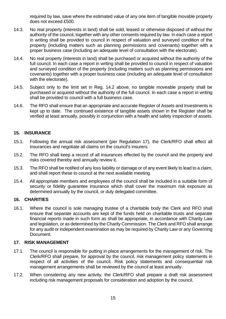required by law, save where the estimated value of any one item of tangible movable property does not exceed £500.

- 14.3. No real property (interests in land) shall be sold, leased or otherwise disposed of without the authority of the council, together with any other consents required by law. In each case a report in writing shall be provided to council in respect of valuation and surveyed condition of the property (including matters such as planning permissions and covenants) together with a proper business case (including an adequate level of consultation with the electorate).
- 14.4. No real property (interests in land) shall be purchased or acquired without the authority of the full council. In each case a report in writing shall be provided to council in respect of valuation and surveyed condition of the property (including matters such as planning permissions and covenants) together with a proper business case (including an adequate level of consultation with the electorate).
- 14.5. Subject only to the limit set in Reg. 14.2 above, no tangible moveable property shall be purchased or acquired without the authority of the full council. In each case a report in writing shall be provided to council with a full business case.
- 14.6. The RFO shall ensure that an appropriate and accurate Register of Assets and Investments is kept up to date. The continued existence of tangible assets shown in the Register shall be verified at least annually, possibly in conjunction with a health and safety inspection of assets.

#### <span id="page-14-0"></span>**15. INSURANCE**

- 15.1. Following the annual risk assessment (per Regulation 17), the Clerk/RFO shall effect all insurances and negotiate all claims on the council's insurers.
- 15.2. The RFO shall keep a record of all insurances effected by the council and the property and risks covered thereby and annually review it.
- 15.3. The RFO shall be notified of any loss liability or damage or of any event likely to lead to a claim, and shall report these to council at the next available meeting.
- 15.4. All appropriate members and employees of the council shall be included in a suitable form of security or fidelity quarantee insurance which shall cover the maximum risk exposure as determined annually by the council, or duly delegated committee.

#### <span id="page-14-1"></span>**16. CHARITIES**

16.1. Where the council is sole managing trustee of a charitable body the Clerk and RFO shall ensure that separate accounts are kept of the funds held on charitable trusts and separate financial reports made in such form as shall be appropriate, in accordance with Charity Law and legislation, or as determined by the Charity Commission. The Clerk and RFO shall arrange for any audit or independent examination as may be required by Charity Law or any Governing Document.

#### <span id="page-14-2"></span>**17. RISK MANAGEMENT**

- 17.1. The council is responsible for putting in place arrangements for the management of risk. The Clerk/RFO shall prepare, for approval by the council, risk management policy statements in respect of all activities of the council. Risk policy statements and consequential risk management arrangements shall be reviewed by the council at least annually.
- 17.2. When considering any new activity, the Clerk/RFO shall prepare a draft risk assessment including risk management proposals for consideration and adoption by the council.